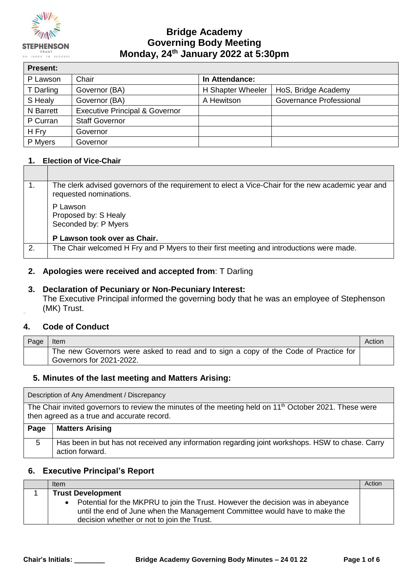

## **Bridge Academy Governing Body Meeting Monday, 24th January 2022 at 5:30pm**

| <b>Present:</b> |                                           |                   |                         |
|-----------------|-------------------------------------------|-------------------|-------------------------|
| P Lawson        | Chair                                     | In Attendance:    |                         |
| T Darling       | Governor (BA)                             | H Shapter Wheeler | HoS, Bridge Academy     |
| S Healy         | Governor (BA)                             | A Hewitson        | Governance Professional |
| N Barrett       | <b>Executive Principal &amp; Governor</b> |                   |                         |
| P Curran        | <b>Staff Governor</b>                     |                   |                         |
| H Fry           | Governor                                  |                   |                         |
| P Myers         | Governor                                  |                   |                         |

### **1. Election of Vice-Chair**

|    | The clerk advised governors of the requirement to elect a Vice-Chair for the new academic year and<br>requested nominations. |
|----|------------------------------------------------------------------------------------------------------------------------------|
|    | P Lawson<br>Proposed by: S Healy<br>Seconded by: P Myers                                                                     |
|    | P Lawson took over as Chair.                                                                                                 |
| 2. | The Chair welcomed H Fry and P Myers to their first meeting and introductions were made.                                     |

### **2. Apologies were received and accepted from**: T Darling

### **3. Declaration of Pecuniary or Non-Pecuniary Interest:**

The Executive Principal informed the governing body that he was an employee of Stephenson (MK) Trust.

### **4. Code of Conduct**

| Page | Item                                                                                                            | Action |
|------|-----------------------------------------------------------------------------------------------------------------|--------|
|      | The new Governors were asked to read and to sign a copy of the Code of Practice for<br>Governors for 2021-2022. |        |

### **5. Minutes of the last meeting and Matters Arising:**

Description of Any Amendment / Discrepancy

The Chair invited governors to review the minutes of the meeting held on 11<sup>th</sup> October 2021. These were then agreed as a true and accurate record.

| Page | <b>Matters Arising</b>                                                                                             |
|------|--------------------------------------------------------------------------------------------------------------------|
|      | Has been in but has not received any information regarding joint workshops. HSW to chase. Carry<br>action forward. |

### **6. Executive Principal's Report**

| Item                                                                                                                                                                                                        | Action |
|-------------------------------------------------------------------------------------------------------------------------------------------------------------------------------------------------------------|--------|
| <b>Trust Development</b>                                                                                                                                                                                    |        |
| Potential for the MKPRU to join the Trust. However the decision was in abeyance<br>until the end of June when the Management Committee would have to make the<br>decision whether or not to join the Trust. |        |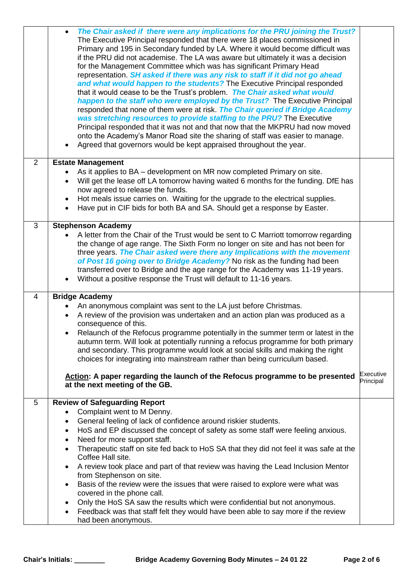|                | The Chair asked if there were any implications for the PRU joining the Trust?<br>The Executive Principal responded that there were 18 places commissioned in<br>Primary and 195 in Secondary funded by LA. Where it would become difficult was<br>if the PRU did not academise. The LA was aware but ultimately it was a decision<br>for the Management Committee which was has significant Primary Head<br>representation. SH asked if there was any risk to staff if it did not go ahead<br>and what would happen to the students? The Executive Principal responded<br>that it would cease to be the Trust's problem. The Chair asked what would<br>happen to the staff who were employed by the Trust? The Executive Principal<br>responded that none of them were at risk. The Chair queried if Bridge Academy<br>was stretching resources to provide staffing to the PRU? The Executive<br>Principal responded that it was not and that now that the MKPRU had now moved<br>onto the Academy's Manor Road site the sharing of staff was easier to manage.<br>Agreed that governors would be kept appraised throughout the year. |                        |
|----------------|---------------------------------------------------------------------------------------------------------------------------------------------------------------------------------------------------------------------------------------------------------------------------------------------------------------------------------------------------------------------------------------------------------------------------------------------------------------------------------------------------------------------------------------------------------------------------------------------------------------------------------------------------------------------------------------------------------------------------------------------------------------------------------------------------------------------------------------------------------------------------------------------------------------------------------------------------------------------------------------------------------------------------------------------------------------------------------------------------------------------------------------|------------------------|
| $\overline{2}$ | <b>Estate Management</b>                                                                                                                                                                                                                                                                                                                                                                                                                                                                                                                                                                                                                                                                                                                                                                                                                                                                                                                                                                                                                                                                                                              |                        |
|                | As it applies to BA – development on MR now completed Primary on site.                                                                                                                                                                                                                                                                                                                                                                                                                                                                                                                                                                                                                                                                                                                                                                                                                                                                                                                                                                                                                                                                |                        |
|                | Will get the lease off LA tomorrow having waited 6 months for the funding. DfE has<br>$\bullet$                                                                                                                                                                                                                                                                                                                                                                                                                                                                                                                                                                                                                                                                                                                                                                                                                                                                                                                                                                                                                                       |                        |
|                | now agreed to release the funds.                                                                                                                                                                                                                                                                                                                                                                                                                                                                                                                                                                                                                                                                                                                                                                                                                                                                                                                                                                                                                                                                                                      |                        |
|                | Hot meals issue carries on. Waiting for the upgrade to the electrical supplies.<br>Have put in CIF bids for both BA and SA. Should get a response by Easter.                                                                                                                                                                                                                                                                                                                                                                                                                                                                                                                                                                                                                                                                                                                                                                                                                                                                                                                                                                          |                        |
|                |                                                                                                                                                                                                                                                                                                                                                                                                                                                                                                                                                                                                                                                                                                                                                                                                                                                                                                                                                                                                                                                                                                                                       |                        |
| 3              | <b>Stephenson Academy</b>                                                                                                                                                                                                                                                                                                                                                                                                                                                                                                                                                                                                                                                                                                                                                                                                                                                                                                                                                                                                                                                                                                             |                        |
|                | A letter from the Chair of the Trust would be sent to C Marriott tomorrow regarding<br>the change of age range. The Sixth Form no longer on site and has not been for                                                                                                                                                                                                                                                                                                                                                                                                                                                                                                                                                                                                                                                                                                                                                                                                                                                                                                                                                                 |                        |
|                | three years. The Chair asked were there any Implications with the movement                                                                                                                                                                                                                                                                                                                                                                                                                                                                                                                                                                                                                                                                                                                                                                                                                                                                                                                                                                                                                                                            |                        |
|                | of Post 16 going over to Bridge Academy? No risk as the funding had been                                                                                                                                                                                                                                                                                                                                                                                                                                                                                                                                                                                                                                                                                                                                                                                                                                                                                                                                                                                                                                                              |                        |
|                | transferred over to Bridge and the age range for the Academy was 11-19 years.                                                                                                                                                                                                                                                                                                                                                                                                                                                                                                                                                                                                                                                                                                                                                                                                                                                                                                                                                                                                                                                         |                        |
|                | Without a positive response the Trust will default to 11-16 years.                                                                                                                                                                                                                                                                                                                                                                                                                                                                                                                                                                                                                                                                                                                                                                                                                                                                                                                                                                                                                                                                    |                        |
| 4              | <b>Bridge Academy</b>                                                                                                                                                                                                                                                                                                                                                                                                                                                                                                                                                                                                                                                                                                                                                                                                                                                                                                                                                                                                                                                                                                                 |                        |
|                | An anonymous complaint was sent to the LA just before Christmas.                                                                                                                                                                                                                                                                                                                                                                                                                                                                                                                                                                                                                                                                                                                                                                                                                                                                                                                                                                                                                                                                      |                        |
|                | A review of the provision was undertaken and an action plan was produced as a                                                                                                                                                                                                                                                                                                                                                                                                                                                                                                                                                                                                                                                                                                                                                                                                                                                                                                                                                                                                                                                         |                        |
|                | consequence of this.                                                                                                                                                                                                                                                                                                                                                                                                                                                                                                                                                                                                                                                                                                                                                                                                                                                                                                                                                                                                                                                                                                                  |                        |
|                | Relaunch of the Refocus programme potentially in the summer term or latest in the                                                                                                                                                                                                                                                                                                                                                                                                                                                                                                                                                                                                                                                                                                                                                                                                                                                                                                                                                                                                                                                     |                        |
|                | autumn term. Will look at potentially running a refocus programme for both primary                                                                                                                                                                                                                                                                                                                                                                                                                                                                                                                                                                                                                                                                                                                                                                                                                                                                                                                                                                                                                                                    |                        |
|                | and secondary. This programme would look at social skills and making the right<br>choices for integrating into mainstream rather than being curriculum based.                                                                                                                                                                                                                                                                                                                                                                                                                                                                                                                                                                                                                                                                                                                                                                                                                                                                                                                                                                         |                        |
|                |                                                                                                                                                                                                                                                                                                                                                                                                                                                                                                                                                                                                                                                                                                                                                                                                                                                                                                                                                                                                                                                                                                                                       |                        |
|                | Action: A paper regarding the launch of the Refocus programme to be presented<br>at the next meeting of the GB.                                                                                                                                                                                                                                                                                                                                                                                                                                                                                                                                                                                                                                                                                                                                                                                                                                                                                                                                                                                                                       | Executive<br>Principal |
| 5              | <b>Review of Safeguarding Report</b>                                                                                                                                                                                                                                                                                                                                                                                                                                                                                                                                                                                                                                                                                                                                                                                                                                                                                                                                                                                                                                                                                                  |                        |
|                | Complaint went to M Denny.                                                                                                                                                                                                                                                                                                                                                                                                                                                                                                                                                                                                                                                                                                                                                                                                                                                                                                                                                                                                                                                                                                            |                        |
|                | General feeling of lack of confidence around riskier students.<br>$\bullet$                                                                                                                                                                                                                                                                                                                                                                                                                                                                                                                                                                                                                                                                                                                                                                                                                                                                                                                                                                                                                                                           |                        |
|                | HoS and EP discussed the concept of safety as some staff were feeling anxious.<br>٠                                                                                                                                                                                                                                                                                                                                                                                                                                                                                                                                                                                                                                                                                                                                                                                                                                                                                                                                                                                                                                                   |                        |
|                | Need for more support staff.                                                                                                                                                                                                                                                                                                                                                                                                                                                                                                                                                                                                                                                                                                                                                                                                                                                                                                                                                                                                                                                                                                          |                        |
|                | Therapeutic staff on site fed back to HoS SA that they did not feel it was safe at the<br>Coffee Hall site.                                                                                                                                                                                                                                                                                                                                                                                                                                                                                                                                                                                                                                                                                                                                                                                                                                                                                                                                                                                                                           |                        |
|                | A review took place and part of that review was having the Lead Inclusion Mentor<br>from Stephenson on site.                                                                                                                                                                                                                                                                                                                                                                                                                                                                                                                                                                                                                                                                                                                                                                                                                                                                                                                                                                                                                          |                        |
|                | Basis of the review were the issues that were raised to explore were what was                                                                                                                                                                                                                                                                                                                                                                                                                                                                                                                                                                                                                                                                                                                                                                                                                                                                                                                                                                                                                                                         |                        |
|                | covered in the phone call.                                                                                                                                                                                                                                                                                                                                                                                                                                                                                                                                                                                                                                                                                                                                                                                                                                                                                                                                                                                                                                                                                                            |                        |
|                | Only the HoS SA saw the results which were confidential but not anonymous.<br>٠                                                                                                                                                                                                                                                                                                                                                                                                                                                                                                                                                                                                                                                                                                                                                                                                                                                                                                                                                                                                                                                       |                        |
|                | Feedback was that staff felt they would have been able to say more if the review<br>$\bullet$                                                                                                                                                                                                                                                                                                                                                                                                                                                                                                                                                                                                                                                                                                                                                                                                                                                                                                                                                                                                                                         |                        |
|                | had been anonymous.                                                                                                                                                                                                                                                                                                                                                                                                                                                                                                                                                                                                                                                                                                                                                                                                                                                                                                                                                                                                                                                                                                                   |                        |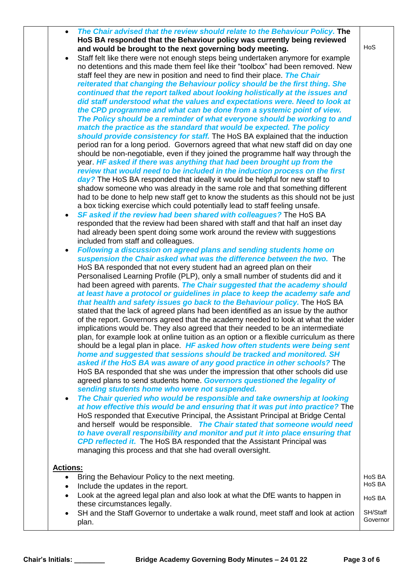| The Chair advised that the review should relate to the Behaviour Policy. The<br>HoS BA responded that the Behaviour policy was currently being reviewed                                                                                                                                                                                                                                                                                                                                                                                                                                                                                                                                                                                                                                                                                                                                                                                                                                                                                                                                                                                                                                                                                                                                                                                                                                                                                                                                                                                                                                                                                                                                                                                                                                                                                                              |                      |
|----------------------------------------------------------------------------------------------------------------------------------------------------------------------------------------------------------------------------------------------------------------------------------------------------------------------------------------------------------------------------------------------------------------------------------------------------------------------------------------------------------------------------------------------------------------------------------------------------------------------------------------------------------------------------------------------------------------------------------------------------------------------------------------------------------------------------------------------------------------------------------------------------------------------------------------------------------------------------------------------------------------------------------------------------------------------------------------------------------------------------------------------------------------------------------------------------------------------------------------------------------------------------------------------------------------------------------------------------------------------------------------------------------------------------------------------------------------------------------------------------------------------------------------------------------------------------------------------------------------------------------------------------------------------------------------------------------------------------------------------------------------------------------------------------------------------------------------------------------------------|----------------------|
| and would be brought to the next governing body meeting.                                                                                                                                                                                                                                                                                                                                                                                                                                                                                                                                                                                                                                                                                                                                                                                                                                                                                                                                                                                                                                                                                                                                                                                                                                                                                                                                                                                                                                                                                                                                                                                                                                                                                                                                                                                                             | HoS                  |
| Staff felt like there were not enough steps being undertaken anymore for example<br>no detentions and this made them feel like their "toolbox" had been removed. New<br>staff feel they are new in position and need to find their place. The Chair<br>reiterated that changing the Behaviour policy should be the first thing. She<br>continued that the report talked about looking holistically at the issues and<br>did staff understood what the values and expectations were. Need to look at<br>the CPD programme and what can be done from a systemic point of view.<br>The Policy should be a reminder of what everyone should be working to and<br>match the practice as the standard that would be expected. The policy<br>should provide consistency for staff. The HoS BA explained that the induction<br>period ran for a long period. Governors agreed that what new staff did on day one<br>should be non-negotiable, even if they joined the programme half way through the<br>year. HF asked if there was anything that had been brought up from the<br>review that would need to be included in the induction process on the first<br>day? The HoS BA responded that ideally it would be helpful for new staff to<br>shadow someone who was already in the same role and that something different<br>had to be done to help new staff get to know the students as this should not be just                                                                                                                                                                                                                                                                                                                                                                                                                                                         |                      |
| a box ticking exercise which could potentially lead to staff feeling unsafe.                                                                                                                                                                                                                                                                                                                                                                                                                                                                                                                                                                                                                                                                                                                                                                                                                                                                                                                                                                                                                                                                                                                                                                                                                                                                                                                                                                                                                                                                                                                                                                                                                                                                                                                                                                                         |                      |
| SF asked if the review had been shared with colleagues? The HoS BA<br>٠<br>responded that the review had been shared with staff and that half an inset day<br>had already been spent doing some work around the review with suggestions<br>included from staff and colleagues.                                                                                                                                                                                                                                                                                                                                                                                                                                                                                                                                                                                                                                                                                                                                                                                                                                                                                                                                                                                                                                                                                                                                                                                                                                                                                                                                                                                                                                                                                                                                                                                       |                      |
| Following a discussion on agreed plans and sending students home on                                                                                                                                                                                                                                                                                                                                                                                                                                                                                                                                                                                                                                                                                                                                                                                                                                                                                                                                                                                                                                                                                                                                                                                                                                                                                                                                                                                                                                                                                                                                                                                                                                                                                                                                                                                                  |                      |
| suspension the Chair asked what was the difference between the two. The<br>HoS BA responded that not every student had an agreed plan on their<br>Personalised Learning Profile (PLP), only a small number of students did and it<br>had been agreed with parents. The Chair suggested that the academy should<br>at least have a protocol or guidelines in place to keep the academy safe and<br>that health and safety issues go back to the Behaviour policy. The HoS BA<br>stated that the lack of agreed plans had been identified as an issue by the author<br>of the report. Governors agreed that the academy needed to look at what the wider<br>implications would be. They also agreed that their needed to be an intermediate<br>plan, for example look at online tuition as an option or a flexible curriculum as there<br>should be a legal plan in place. HF asked how often students were being sent<br>home and suggested that sessions should be tracked and monitored. SH<br>asked if the HoS BA was aware of any good practice in other schools? The<br>HoS BA responded that she was under the impression that other schools did use<br>agreed plans to send students home. Governors questioned the legality of<br>sending students home who were not suspended.<br>The Chair queried who would be responsible and take ownership at looking<br>$\bullet$<br>at how effective this would be and ensuring that it was put into practice? The<br>HoS responded that Executive Principal, the Assistant Principal at Bridge Cental<br>and herself would be responsible. The Chair stated that someone would need<br>to have overall responsibility and monitor and put it into place ensuring that<br><b>CPD reflected it.</b> The HoS BA responded that the Assistant Principal was<br>managing this process and that she had overall oversight. |                      |
| <b>Actions:</b>                                                                                                                                                                                                                                                                                                                                                                                                                                                                                                                                                                                                                                                                                                                                                                                                                                                                                                                                                                                                                                                                                                                                                                                                                                                                                                                                                                                                                                                                                                                                                                                                                                                                                                                                                                                                                                                      |                      |
| Bring the Behaviour Policy to the next meeting.<br>$\bullet$<br>Include the updates in the report.                                                                                                                                                                                                                                                                                                                                                                                                                                                                                                                                                                                                                                                                                                                                                                                                                                                                                                                                                                                                                                                                                                                                                                                                                                                                                                                                                                                                                                                                                                                                                                                                                                                                                                                                                                   | HoS BA<br>HoS BA     |
| Look at the agreed legal plan and also look at what the DfE wants to happen in<br>these circumstances legally.                                                                                                                                                                                                                                                                                                                                                                                                                                                                                                                                                                                                                                                                                                                                                                                                                                                                                                                                                                                                                                                                                                                                                                                                                                                                                                                                                                                                                                                                                                                                                                                                                                                                                                                                                       | HoS BA               |
| SH and the Staff Governor to undertake a walk round, meet staff and look at action<br>plan.                                                                                                                                                                                                                                                                                                                                                                                                                                                                                                                                                                                                                                                                                                                                                                                                                                                                                                                                                                                                                                                                                                                                                                                                                                                                                                                                                                                                                                                                                                                                                                                                                                                                                                                                                                          | SH/Staff<br>Governor |
|                                                                                                                                                                                                                                                                                                                                                                                                                                                                                                                                                                                                                                                                                                                                                                                                                                                                                                                                                                                                                                                                                                                                                                                                                                                                                                                                                                                                                                                                                                                                                                                                                                                                                                                                                                                                                                                                      |                      |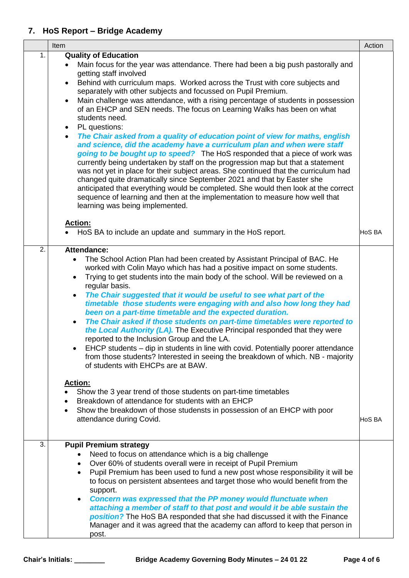## **7. HoS Report – Bridge Academy**

|    | Item                                                                                                                                                                                                                                                                                                                                                                                                                                                                                                                                                                                                                                                                                                                                                                                                                                                                                                                                                                                                                                                                                                                                                                                                                                          | Action |
|----|-----------------------------------------------------------------------------------------------------------------------------------------------------------------------------------------------------------------------------------------------------------------------------------------------------------------------------------------------------------------------------------------------------------------------------------------------------------------------------------------------------------------------------------------------------------------------------------------------------------------------------------------------------------------------------------------------------------------------------------------------------------------------------------------------------------------------------------------------------------------------------------------------------------------------------------------------------------------------------------------------------------------------------------------------------------------------------------------------------------------------------------------------------------------------------------------------------------------------------------------------|--------|
| 1. | <b>Quality of Education</b><br>Main focus for the year was attendance. There had been a big push pastorally and<br>getting staff involved<br>Behind with curriculum maps. Worked across the Trust with core subjects and<br>٠<br>separately with other subjects and focussed on Pupil Premium.<br>Main challenge was attendance, with a rising percentage of students in possession<br>$\bullet$<br>of an EHCP and SEN needs. The focus on Learning Walks has been on what<br>students need.<br>PL questions:<br>$\bullet$<br>The Chair asked from a quality of education point of view for maths, english<br>$\bullet$<br>and science, did the academy have a curriculum plan and when were staff<br>going to be bought up to speed? The HoS responded that a piece of work was<br>currently being undertaken by staff on the progression map but that a statement<br>was not yet in place for their subject areas. She continued that the curriculum had<br>changed quite dramatically since September 2021 and that by Easter she<br>anticipated that everything would be completed. She would then look at the correct<br>sequence of learning and then at the implementation to measure how well that<br>learning was being implemented. |        |
|    | <b>Action:</b><br>HoS BA to include an update and summary in the HoS report.                                                                                                                                                                                                                                                                                                                                                                                                                                                                                                                                                                                                                                                                                                                                                                                                                                                                                                                                                                                                                                                                                                                                                                  | HoS BA |
| 2. | <b>Attendance:</b><br>The School Action Plan had been created by Assistant Principal of BAC. He<br>$\bullet$<br>worked with Colin Mayo which has had a positive impact on some students.<br>Trying to get students into the main body of the school. Will be reviewed on a<br>$\bullet$<br>regular basis.<br>The Chair suggested that it would be useful to see what part of the<br>$\bullet$<br>timetable those students were engaging with and also how long they had<br>been on a part-time timetable and the expected duration.<br>The Chair asked if those students on part-time timetables were reported to<br>$\bullet$<br>the Local Authority (LA). The Executive Principal responded that they were<br>reported to the Inclusion Group and the LA.<br>EHCP students - dip in students in line with covid. Potentially poorer attendance<br>from those students? Interested in seeing the breakdown of which. NB - majority<br>of students with EHCPs are at BAW.<br><u>Action:</u><br>Show the 3 year trend of those students on part-time timetables<br>Breakdown of attendance for students with an EHCP<br>Show the breakdown of those studensts in possession of an EHCP with poor<br>attendance during Covid.                   | HoS BA |
|    |                                                                                                                                                                                                                                                                                                                                                                                                                                                                                                                                                                                                                                                                                                                                                                                                                                                                                                                                                                                                                                                                                                                                                                                                                                               |        |
| 3. | <b>Pupil Premium strategy</b><br>Need to focus on attendance which is a big challenge<br>Over 60% of students overall were in receipt of Pupil Premium<br>$\bullet$<br>Pupil Premium has been used to fund a new post whose responsibility it will be<br>$\bullet$<br>to focus on persistent absentees and target those who would benefit from the<br>support.<br>Concern was expressed that the PP money would flunctuate when<br>$\bullet$<br>attaching a member of staff to that post and would it be able sustain the<br>position? The HoS BA responded that she had discussed it with the Finance<br>Manager and it was agreed that the academy can afford to keep that person in<br>post.                                                                                                                                                                                                                                                                                                                                                                                                                                                                                                                                               |        |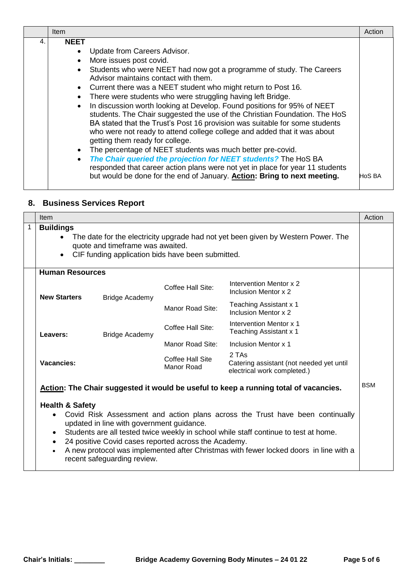|    | <b>Item</b>                                                                                                                                                                                                                                                                                                                                                                                                                                                                                                                                                                                                                                                                                                                                                                                                                                                                                                                                                                                                                                                             | Action |
|----|-------------------------------------------------------------------------------------------------------------------------------------------------------------------------------------------------------------------------------------------------------------------------------------------------------------------------------------------------------------------------------------------------------------------------------------------------------------------------------------------------------------------------------------------------------------------------------------------------------------------------------------------------------------------------------------------------------------------------------------------------------------------------------------------------------------------------------------------------------------------------------------------------------------------------------------------------------------------------------------------------------------------------------------------------------------------------|--------|
| 4. | <b>NEET</b><br>Update from Careers Advisor.<br>$\bullet$<br>More issues post covid.<br>$\bullet$<br>Students who were NEET had now got a programme of study. The Careers<br>$\bullet$<br>Advisor maintains contact with them.<br>• Current there was a NEET student who might return to Post 16.<br>There were students who were struggling having left Bridge.<br>$\bullet$<br>In discussion worth looking at Develop. Found positions for 95% of NEET<br>$\bullet$<br>students. The Chair suggested the use of the Christian Foundation. The HoS<br>BA stated that the Trust's Post 16 provision was suitable for some students<br>who were not ready to attend college college and added that it was about<br>getting them ready for college.<br>The percentage of NEET students was much better pre-covid.<br>$\bullet$<br>The Chair queried the projection for NEET students? The HoS BA<br>$\bullet$<br>responded that career action plans were not yet in place for year 11 students<br>but would be done for the end of January. Action: Bring to next meeting. | HoS BA |

# **8. Business Services Report**

|   | <b>Item</b>                                                                                                                                                                                                                                                                                                                                                                                                                                                             |                       |                                       |                                                                                      | Action     |
|---|-------------------------------------------------------------------------------------------------------------------------------------------------------------------------------------------------------------------------------------------------------------------------------------------------------------------------------------------------------------------------------------------------------------------------------------------------------------------------|-----------------------|---------------------------------------|--------------------------------------------------------------------------------------|------------|
| 1 | <b>Buildings</b><br>The date for the electricity upgrade had not yet been given by Western Power. The<br>quote and timeframe was awaited.<br>CIF funding application bids have been submitted.<br>$\bullet$                                                                                                                                                                                                                                                             |                       |                                       |                                                                                      |            |
|   | <b>Human Resources</b>                                                                                                                                                                                                                                                                                                                                                                                                                                                  |                       |                                       |                                                                                      |            |
|   | <b>New Starters</b>                                                                                                                                                                                                                                                                                                                                                                                                                                                     | <b>Bridge Academy</b> | Coffee Hall Site:                     | Intervention Mentor x 2<br>Inclusion Mentor x 2                                      |            |
|   |                                                                                                                                                                                                                                                                                                                                                                                                                                                                         |                       | Manor Road Site:                      | Teaching Assistant x 1<br>Inclusion Mentor x 2                                       |            |
|   | Leavers:                                                                                                                                                                                                                                                                                                                                                                                                                                                                | <b>Bridge Academy</b> | Coffee Hall Site:                     | Intervention Mentor x 1<br>Teaching Assistant x 1                                    |            |
|   |                                                                                                                                                                                                                                                                                                                                                                                                                                                                         |                       | Manor Road Site:                      | Inclusion Mentor x 1                                                                 |            |
|   | Vacancies:                                                                                                                                                                                                                                                                                                                                                                                                                                                              |                       | Coffee Hall Site<br><b>Manor Road</b> | 2 TAs<br>Catering assistant (not needed yet until<br>electrical work completed.)     |            |
|   |                                                                                                                                                                                                                                                                                                                                                                                                                                                                         |                       |                                       | Action: The Chair suggested it would be useful to keep a running total of vacancies. | <b>BSM</b> |
|   | <b>Health &amp; Safety</b><br>Covid Risk Assessment and action plans across the Trust have been continually<br>updated in line with government guidance.<br>Students are all tested twice weekly in school while staff continue to test at home.<br>$\bullet$<br>24 positive Covid cases reported across the Academy.<br>$\bullet$<br>A new protocol was implemented after Christmas with fewer locked doors in line with a<br>$\bullet$<br>recent safeguarding review. |                       |                                       |                                                                                      |            |